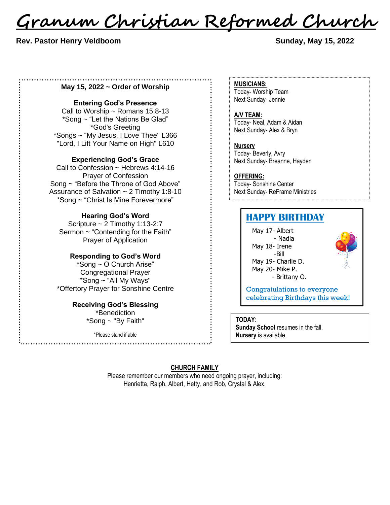<u>Granum Christian Reformed Church</u>

## **Rev. Pastor Henry Veldboom Sunday, May 15, 2022**

## **May 15, 2022 ~ Order of Worship**

#### **Entering God's Presence**

Call to Worship  $\sim$  Romans 15:8-13 \*Song ~ "Let the Nations Be Glad" \*God's Greeting \*Songs ~ "My Jesus, I Love Thee" L366 "Lord, I Lift Your Name on High" L610

#### **Experiencing God's Grace**

Call to Confession ~ Hebrews 4:14-16 Prayer of Confession Song ~ "Before the Throne of God Above" Assurance of Salvation ~ 2 Timothy 1:8-10 \*Song ~ "Christ Is Mine Forevermore"

## **Hearing God's Word**

Scripture ~ 2 Timothy 1:13-2:7 Sermon ~ "Contending for the Faith" Prayer of Application

### **Responding to God's Word**

\*Song ~ O Church Arise" Congregational Prayer \*Song ~ "All My Ways" \*Offertory Prayer for Sonshine Centre

## **Receiving God's Blessing**

\*Benediction \*Song ~ "By Faith"

\*Please stand if able

**MUSICIANS:** Today- Worship Team Next Sunday- Jennie

**A/V TEAM:** Today- Neal, Adam & Aidan Next Sunday- Alex & Bryn

**Nursery** Today- Beverly, Avry Next Sunday- Breanne, Hayden

**OFFERING:** Today- Sonshine Center Next Sunday- ReFrame Ministries

## **HAPPY BIRTHDAY**

May 17- Albert - Nadia May 18- Irene -Bill May 19- Charlie D. May 20- Mike P. - Brittany O.



Congratulations to everyone celebrating Birthdays this week!

#### **TODAY:**

**Sunday School** resumes in the fall. **Nursery** is available.

## **CHURCH FAMILY**

Please remember our members who need ongoing prayer, including: Henrietta, Ralph, Albert, Hetty, and Rob, Crystal & Alex.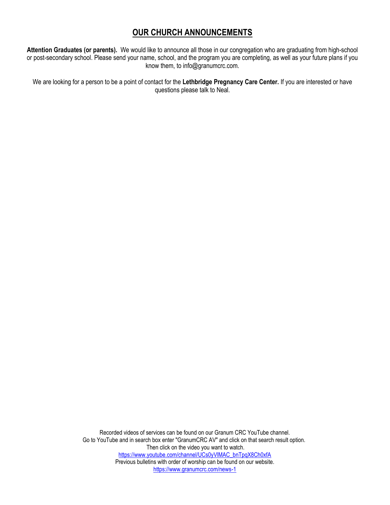## **OUR CHURCH ANNOUNCEMENTS**

**Attention Graduates (or parents).** We would like to announce all those in our congregation who are graduating from high-school or post-secondary school. Please send your name, school, and the program you are completing, as well as your future plans if you know them, to info@granumcrc.com.

We are looking for a person to be a point of contact for the **Lethbridge Pregnancy Care Center.** If you are interested or have questions please talk to Neal.

> Recorded videos of services can be found on our Granum CRC YouTube channel. Go to YouTube and in search box enter "GranumCRC AV" and click on that search result option. Then click on the video you want to watch. [https://www.youtube.com/channel/UCs0yVlMAC\\_bnTpqX8Ch0xfA](https://www.youtube.com/channel/UCs0yVlMAC_bnTpqX8Ch0xfA) Previous bulletins with order of worship can be found on our website. <https://www.granumcrc.com/news-1>